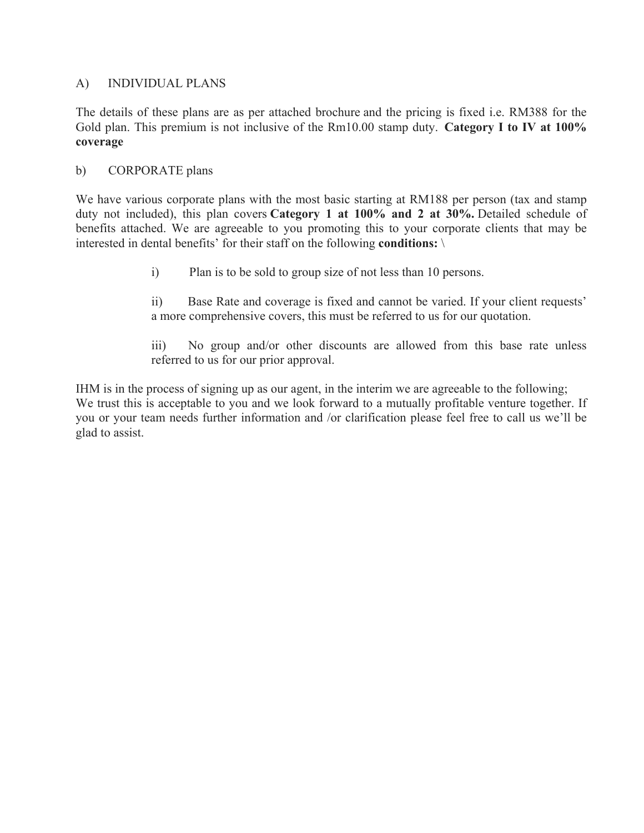# A) INDIVIDUAL PLANS

The details of these plans are as per attached brochure and the pricing is fixed i.e. RM388 for the Gold plan. This premium is not inclusive of the Rm10.00 stamp duty. **Category I to IV at 100% coverage**

## b) CORPORATE plans

We have various corporate plans with the most basic starting at RM188 per person (tax and stamp duty not included), this plan covers **Category 1 at 100% and 2 at 30%.** Detailed schedule of benefits attached. We are agreeable to you promoting this to your corporate clients that may be interested in dental benefits' for their staff on the following **conditions:** \

i) Plan is to be sold to group size of not less than 10 persons.

ii) Base Rate and coverage is fixed and cannot be varied. If your client requests' a more comprehensive covers, this must be referred to us for our quotation.

iii) No group and/or other discounts are allowed from this base rate unless referred to us for our prior approval.

IHM is in the process of signing up as our agent, in the interim we are agreeable to the following; We trust this is acceptable to you and we look forward to a mutually profitable venture together. If you or your team needs further information and /or clarification please feel free to call us we'll be glad to assist.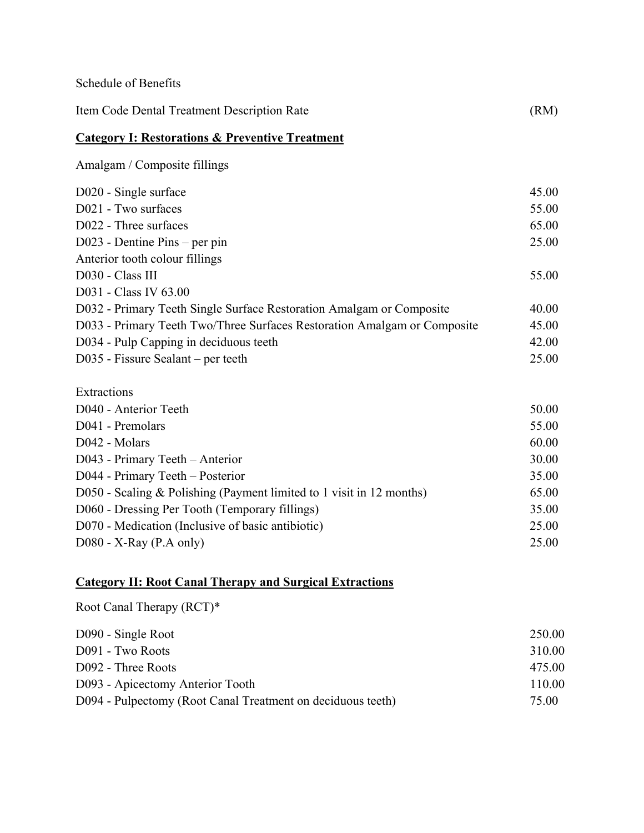| Schedule of Benefits                                                     |       |
|--------------------------------------------------------------------------|-------|
| Item Code Dental Treatment Description Rate                              | (RM)  |
| <b>Category I: Restorations &amp; Preventive Treatment</b>               |       |
| Amalgam / Composite fillings                                             |       |
| D020 - Single surface                                                    | 45.00 |
| D021 - Two surfaces                                                      | 55.00 |
| D022 - Three surfaces                                                    | 65.00 |
| D023 - Dentine Pins – per pin                                            | 25.00 |
| Anterior tooth colour fillings                                           |       |
| D030 - Class III                                                         | 55.00 |
| D031 - Class IV 63.00                                                    |       |
| D032 - Primary Teeth Single Surface Restoration Amalgam or Composite     | 40.00 |
| D033 - Primary Teeth Two/Three Surfaces Restoration Amalgam or Composite | 45.00 |
| D034 - Pulp Capping in deciduous teeth                                   | 42.00 |
| D035 - Fissure Sealant – per teeth                                       | 25.00 |
| Extractions                                                              |       |
| D040 - Anterior Teeth                                                    | 50.00 |
| D041 - Premolars                                                         | 55.00 |
| D042 - Molars                                                            | 60.00 |
| D043 - Primary Teeth - Anterior                                          | 30.00 |
| D044 - Primary Teeth - Posterior                                         | 35.00 |
| D050 - Scaling $&$ Polishing (Payment limited to 1 visit in 12 months)   | 65.00 |
| D060 - Dressing Per Tooth (Temporary fillings)                           | 35.00 |
| D070 - Medication (Inclusive of basic antibiotic)                        | 25.00 |
| $D080 - X-Ray$ (P.A only)                                                | 25.00 |
| <b>Category II: Root Canal Therapy and Surgical Extractions</b>          |       |
| Root Canal Therapy (RCT)*                                                |       |

| D090 - Single Root                                          | 250.00 |
|-------------------------------------------------------------|--------|
| D091 - Two Roots                                            | 310.00 |
| D092 - Three Roots                                          | 475 00 |
| D093 - Apicectomy Anterior Tooth                            | 110.00 |
| D094 - Pulpectomy (Root Canal Treatment on deciduous teeth) | 75.00  |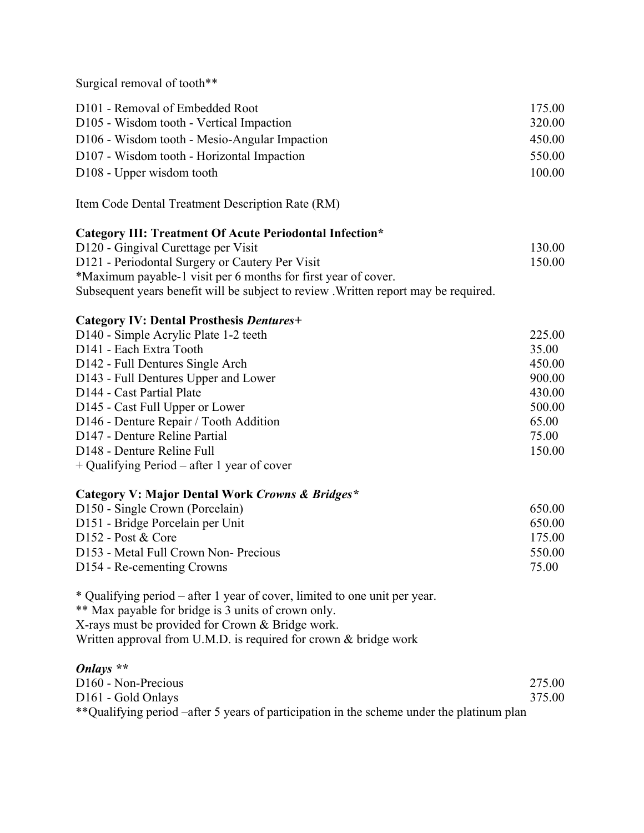Surgical removal of tooth\*\*

| D <sub>101</sub> - Removal of Embedded Root               | 175.00 |
|-----------------------------------------------------------|--------|
| D <sub>105</sub> - Wisdom tooth - Vertical Impaction      | 320.00 |
| D <sub>106</sub> - Wisdom tooth - Mesio-Angular Impaction | 450.00 |
| D <sub>107</sub> - Wisdom tooth - Horizontal Impaction    | 550.00 |
| D <sub>108</sub> - Upper wisdom tooth                     | 100.00 |

Item Code Dental Treatment Description Rate (RM)

### **Category III: Treatment Of Acute Periodontal Infection\***

| D <sub>120</sub> - Gingival Curettage per Visit                                     | 130.00 |
|-------------------------------------------------------------------------------------|--------|
| D121 - Periodontal Surgery or Cautery Per Visit                                     | 150.00 |
| *Maximum payable-1 visit per 6 months for first year of cover.                      |        |
| Subsequent years benefit will be subject to review. Written report may be required. |        |

### **Category IV: Dental Prosthesis** *Dentures+*

| D <sub>140</sub> - Simple Acrylic Plate 1-2 teeth | 225.00 |
|---------------------------------------------------|--------|
| D <sub>141</sub> - Each Extra Tooth               | 35.00  |
| D <sub>142</sub> - Full Dentures Single Arch      | 450.00 |
| D143 - Full Dentures Upper and Lower              | 900.00 |
| D144 - Cast Partial Plate                         | 430.00 |
| D145 - Cast Full Upper or Lower                   | 500.00 |
| D146 - Denture Repair / Tooth Addition            | 65.00  |
| D147 - Denture Reline Partial                     | 75.00  |
| D <sub>148</sub> - Denture Reline Full            | 150.00 |
|                                                   |        |

+ Qualifying Period – after 1 year of cover

#### **Category V: Major Dental Work** *Crowns & Bridges\**

| D <sub>150</sub> - Single Crown (Porcelain)  | 650.00 |
|----------------------------------------------|--------|
| D <sub>151</sub> - Bridge Porcelain per Unit | 650.00 |
| $D152 - Post & Core$                         | 175 00 |
| D153 - Metal Full Crown Non-Precious         | 550.00 |
| D <sub>154</sub> - Re-cementing Crowns       | 75.00  |

\* Qualifying period – after 1 year of cover, limited to one unit per year.

\*\* Max payable for bridge is 3 units of crown only.

X-rays must be provided for Crown & Bridge work.

Written approval from U.M.D. is required for crown & bridge work

### *Onlays \*\**

| D <sub>160</sub> - Non-Precious                                                            | 275.00 |
|--------------------------------------------------------------------------------------------|--------|
| D <sub>161</sub> - Gold Onlays                                                             | 375.00 |
| ** Qualifying period –after 5 years of participation in the scheme under the platinum plan |        |